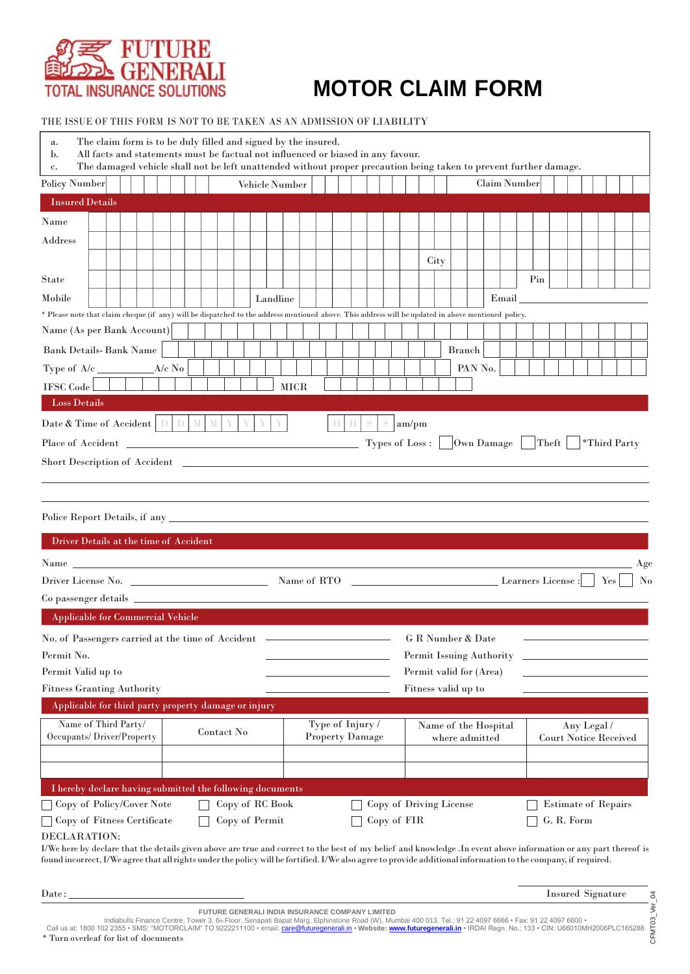

THE ISSUE OF THIS FORM IS NOT TO BE TAKEN AS AN ADMISSION OF LIABILITY

| The claim form is to be duly filled and signed by the insured.<br>a.<br>All facts and statements must be factual not influenced or biased in any favour.<br>$\mathbf{b}$ .<br>The damaged vehicle shall not be left unattended without proper precaution being taken to prevent further damage.<br>c.                                              |                                      |             |                                                |                                        |        |                         |                          |         |                                             |     |  |                            |  |  |                  |  |  |  |
|----------------------------------------------------------------------------------------------------------------------------------------------------------------------------------------------------------------------------------------------------------------------------------------------------------------------------------------------------|--------------------------------------|-------------|------------------------------------------------|----------------------------------------|--------|-------------------------|--------------------------|---------|---------------------------------------------|-----|--|----------------------------|--|--|------------------|--|--|--|
| Policy Number<br>Vehicle Number                                                                                                                                                                                                                                                                                                                    |                                      |             |                                                |                                        |        | Claim Number            |                          |         |                                             |     |  |                            |  |  |                  |  |  |  |
| <b>Insured Details</b>                                                                                                                                                                                                                                                                                                                             |                                      |             |                                                |                                        |        |                         |                          |         |                                             |     |  |                            |  |  |                  |  |  |  |
| Name                                                                                                                                                                                                                                                                                                                                               |                                      |             |                                                |                                        |        |                         |                          |         |                                             |     |  |                            |  |  |                  |  |  |  |
| Address                                                                                                                                                                                                                                                                                                                                            |                                      |             |                                                |                                        |        |                         |                          |         |                                             |     |  |                            |  |  |                  |  |  |  |
|                                                                                                                                                                                                                                                                                                                                                    |                                      |             |                                                |                                        |        | City                    |                          |         |                                             |     |  |                            |  |  |                  |  |  |  |
| State                                                                                                                                                                                                                                                                                                                                              |                                      |             |                                                |                                        |        |                         |                          |         |                                             | Pin |  |                            |  |  |                  |  |  |  |
| Mobile                                                                                                                                                                                                                                                                                                                                             | Landline                             |             |                                                |                                        |        |                         |                          |         | Email                                       |     |  |                            |  |  |                  |  |  |  |
| * Please note that claim cheque (if any) will be dispatched to the address mentioned above. This address will be updated in above mentioned policy.                                                                                                                                                                                                |                                      |             |                                                |                                        |        |                         |                          |         |                                             |     |  |                            |  |  |                  |  |  |  |
| Name (As per Bank Account)                                                                                                                                                                                                                                                                                                                         |                                      |             |                                                |                                        |        |                         |                          |         |                                             |     |  |                            |  |  |                  |  |  |  |
| <b>Bank Details-Bank Name</b>                                                                                                                                                                                                                                                                                                                      |                                      |             |                                                |                                        |        |                         | <b>Branch</b>            |         |                                             |     |  |                            |  |  |                  |  |  |  |
|                                                                                                                                                                                                                                                                                                                                                    |                                      |             |                                                |                                        |        |                         |                          | PAN No. |                                             |     |  |                            |  |  |                  |  |  |  |
| <b>IFSC</b> Code                                                                                                                                                                                                                                                                                                                                   |                                      | <b>MICR</b> |                                                |                                        |        |                         |                          |         |                                             |     |  |                            |  |  |                  |  |  |  |
| <b>Loss Details</b>                                                                                                                                                                                                                                                                                                                                |                                      |             |                                                |                                        |        |                         |                          |         |                                             |     |  |                            |  |  |                  |  |  |  |
| Date & Time of Accident $\boxed{\mathbb{D}}$ $\boxed{\mathbb{D}}$ $\boxed{\mathbb{M}}$ $\boxed{\mathbb{Y}}$ $\boxed{\mathbb{Y}}$ $\boxed{\mathbb{Y}}$                                                                                                                                                                                              |                                      |             | <b>HHSS</b>                                    |                                        | am/pm  |                         |                          |         |                                             |     |  |                            |  |  |                  |  |  |  |
|                                                                                                                                                                                                                                                                                                                                                    |                                      |             |                                                |                                        |        |                         |                          |         |                                             |     |  |                            |  |  | *Third Party     |  |  |  |
|                                                                                                                                                                                                                                                                                                                                                    |                                      |             |                                                |                                        |        |                         |                          |         |                                             |     |  |                            |  |  |                  |  |  |  |
|                                                                                                                                                                                                                                                                                                                                                    |                                      |             |                                                |                                        |        |                         |                          |         |                                             |     |  |                            |  |  |                  |  |  |  |
|                                                                                                                                                                                                                                                                                                                                                    |                                      |             |                                                |                                        |        |                         |                          |         |                                             |     |  |                            |  |  |                  |  |  |  |
|                                                                                                                                                                                                                                                                                                                                                    |                                      |             |                                                |                                        |        |                         |                          |         |                                             |     |  |                            |  |  |                  |  |  |  |
| Driver Details at the time of Accident                                                                                                                                                                                                                                                                                                             |                                      |             |                                                |                                        |        |                         |                          |         |                                             |     |  |                            |  |  |                  |  |  |  |
|                                                                                                                                                                                                                                                                                                                                                    |                                      |             |                                                |                                        |        |                         |                          |         |                                             |     |  |                            |  |  |                  |  |  |  |
| Name experience and the contract of the contract of the contract of the contract of the contract of the contract of the contract of the contract of the contract of the contract of the contract of the contract of the contra                                                                                                                     |                                      |             |                                                |                                        |        |                         |                          |         |                                             |     |  |                            |  |  | Age<br>$\rm\,No$ |  |  |  |
|                                                                                                                                                                                                                                                                                                                                                    |                                      |             |                                                |                                        |        |                         |                          |         |                                             |     |  |                            |  |  |                  |  |  |  |
| Applicable for Commercial Vehicle                                                                                                                                                                                                                                                                                                                  |                                      |             |                                                |                                        |        |                         |                          |         |                                             |     |  |                            |  |  |                  |  |  |  |
|                                                                                                                                                                                                                                                                                                                                                    |                                      |             |                                                |                                        |        |                         |                          |         |                                             |     |  |                            |  |  |                  |  |  |  |
|                                                                                                                                                                                                                                                                                                                                                    |                                      |             |                                                |                                        | $\sim$ |                         |                          |         |                                             |     |  |                            |  |  |                  |  |  |  |
| Permit No.                                                                                                                                                                                                                                                                                                                                         |                                      |             |                                                |                                        |        |                         | Permit Issuing Authority |         |                                             |     |  |                            |  |  |                  |  |  |  |
| Permit Valid up to                                                                                                                                                                                                                                                                                                                                 |                                      |             | Permit valid for (Area)<br>Fitness valid up to |                                        |        |                         |                          |         |                                             |     |  |                            |  |  |                  |  |  |  |
| <b>Fitness Granting Authority</b>                                                                                                                                                                                                                                                                                                                  |                                      |             |                                                |                                        |        |                         |                          |         |                                             |     |  |                            |  |  |                  |  |  |  |
| Applicable for third party property damage or injury                                                                                                                                                                                                                                                                                               |                                      |             |                                                |                                        |        |                         |                          |         |                                             |     |  |                            |  |  |                  |  |  |  |
| Name of Third Party/<br>Occupants/Driver/Property                                                                                                                                                                                                                                                                                                  | Contact No<br><b>Property Damage</b> |             | Type of Injury /                               | Name of the Hospital<br>where admitted |        |                         |                          |         | Any Legal /<br><b>Court Notice Received</b> |     |  |                            |  |  |                  |  |  |  |
|                                                                                                                                                                                                                                                                                                                                                    |                                      |             |                                                |                                        |        |                         |                          |         |                                             |     |  |                            |  |  |                  |  |  |  |
|                                                                                                                                                                                                                                                                                                                                                    |                                      |             |                                                |                                        |        |                         |                          |         |                                             |     |  |                            |  |  |                  |  |  |  |
| I hereby declare having submitted the following documents                                                                                                                                                                                                                                                                                          |                                      |             |                                                |                                        |        |                         |                          |         |                                             |     |  |                            |  |  |                  |  |  |  |
| Copy of Policy/Cover Note                                                                                                                                                                                                                                                                                                                          | Copy of RC Book                      |             |                                                |                                        |        | Copy of Driving License |                          |         |                                             |     |  | <b>Estimate of Repairs</b> |  |  |                  |  |  |  |
| Copy of Fitness Certificate                                                                                                                                                                                                                                                                                                                        | Copy of Permit                       | Copy of FIR |                                                |                                        |        |                         |                          |         |                                             |     |  | G. R. Form                 |  |  |                  |  |  |  |
| DECLARATION:<br>I/We here by declare that the details given above are true and correct to the best of my belief and knowledge .In event above information or any part thereof is<br>found incorrect, I/We agree that all rights under the policy will be fortified. I/We also agree to provide additional information to the company, if required. |                                      |             |                                                |                                        |        |                         |                          |         |                                             |     |  |                            |  |  |                  |  |  |  |

Date: Insured Signature

**FUTURE GENERALI INDIA INSURANCE COMPANY LIMITED**

CFMT03\_Ver\_04 CFMT03 Indiabulls Finance Centre, Tower 3, 6⊪ Floor, Senapati Bapat Marg, Elphinstone Road (W), Mumbai 400 013. Tel.: 91 22 4097 6666 • Fax: 91 22 4097 6600 •<br>Call us at: 1800 102 2355 • SMS: "MOTORCLAIM" TO 9222211100 • email: \* Turn overleaf for list of documents

 $Ver\_04$